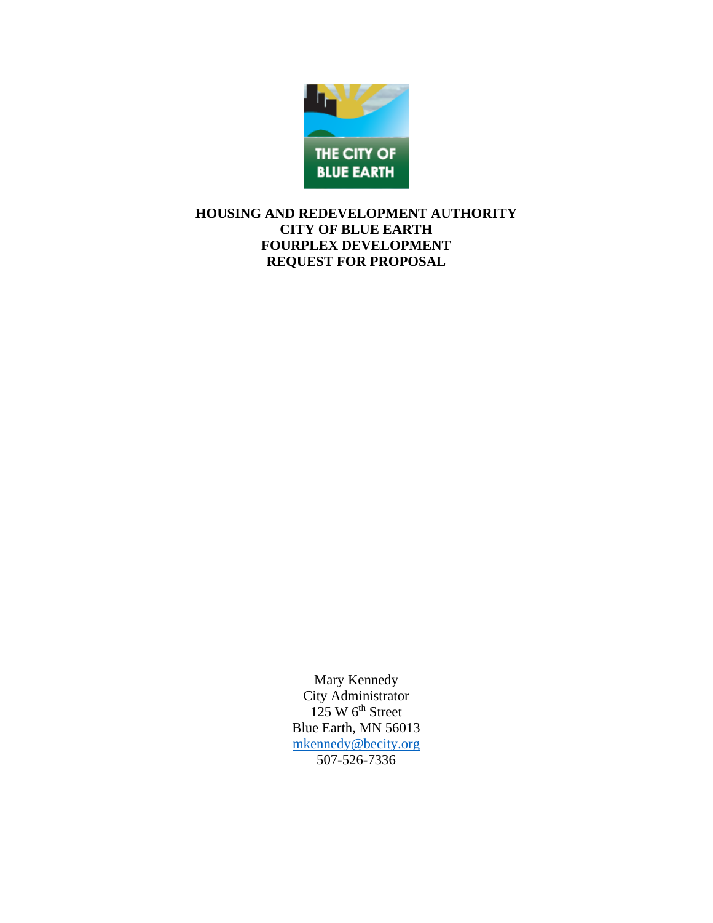

# **HOUSING AND REDEVELOPMENT AUTHORITY CITY OF BLUE EARTH FOURPLEX DEVELOPMENT REQUEST FOR PROPOSAL**

Mary Kennedy City Administrator  $125 \text{ W } 6^{\text{th}}$  Street Blue Earth, MN 56013 [mkennedy@becity.org](mailto:mkennedy@becity.org) 507-526-7336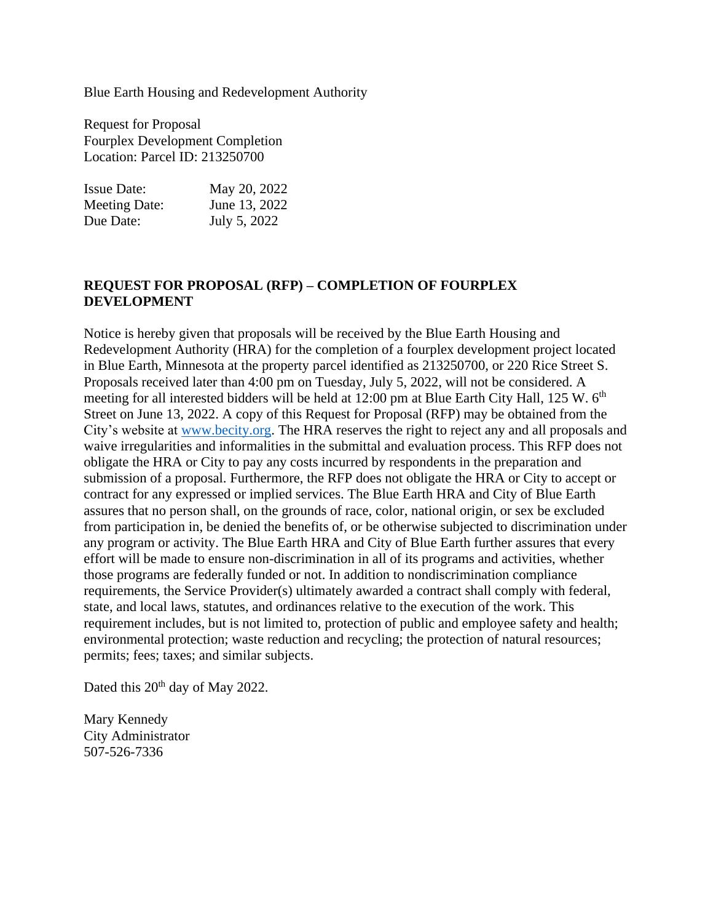Blue Earth Housing and Redevelopment Authority

Request for Proposal Fourplex Development Completion Location: Parcel ID: 213250700

| <b>Issue Date:</b>   | May 20, 2022  |
|----------------------|---------------|
| <b>Meeting Date:</b> | June 13, 2022 |
| Due Date:            | July 5, 2022  |

### **REQUEST FOR PROPOSAL (RFP) – COMPLETION OF FOURPLEX DEVELOPMENT**

Notice is hereby given that proposals will be received by the Blue Earth Housing and Redevelopment Authority (HRA) for the completion of a fourplex development project located in Blue Earth, Minnesota at the property parcel identified as 213250700, or 220 Rice Street S. Proposals received later than 4:00 pm on Tuesday, July 5, 2022, will not be considered. A meeting for all interested bidders will be held at  $12:00$  pm at Blue Earth City Hall,  $125$  W.  $6<sup>th</sup>$ Street on June 13, 2022. A copy of this Request for Proposal (RFP) may be obtained from the City's website at [www.becity.org.](http://www.becity.org/) The HRA reserves the right to reject any and all proposals and waive irregularities and informalities in the submittal and evaluation process. This RFP does not obligate the HRA or City to pay any costs incurred by respondents in the preparation and submission of a proposal. Furthermore, the RFP does not obligate the HRA or City to accept or contract for any expressed or implied services. The Blue Earth HRA and City of Blue Earth assures that no person shall, on the grounds of race, color, national origin, or sex be excluded from participation in, be denied the benefits of, or be otherwise subjected to discrimination under any program or activity. The Blue Earth HRA and City of Blue Earth further assures that every effort will be made to ensure non-discrimination in all of its programs and activities, whether those programs are federally funded or not. In addition to nondiscrimination compliance requirements, the Service Provider(s) ultimately awarded a contract shall comply with federal, state, and local laws, statutes, and ordinances relative to the execution of the work. This requirement includes, but is not limited to, protection of public and employee safety and health; environmental protection; waste reduction and recycling; the protection of natural resources; permits; fees; taxes; and similar subjects.

Dated this 20<sup>th</sup> day of May 2022.

Mary Kennedy City Administrator 507-526-7336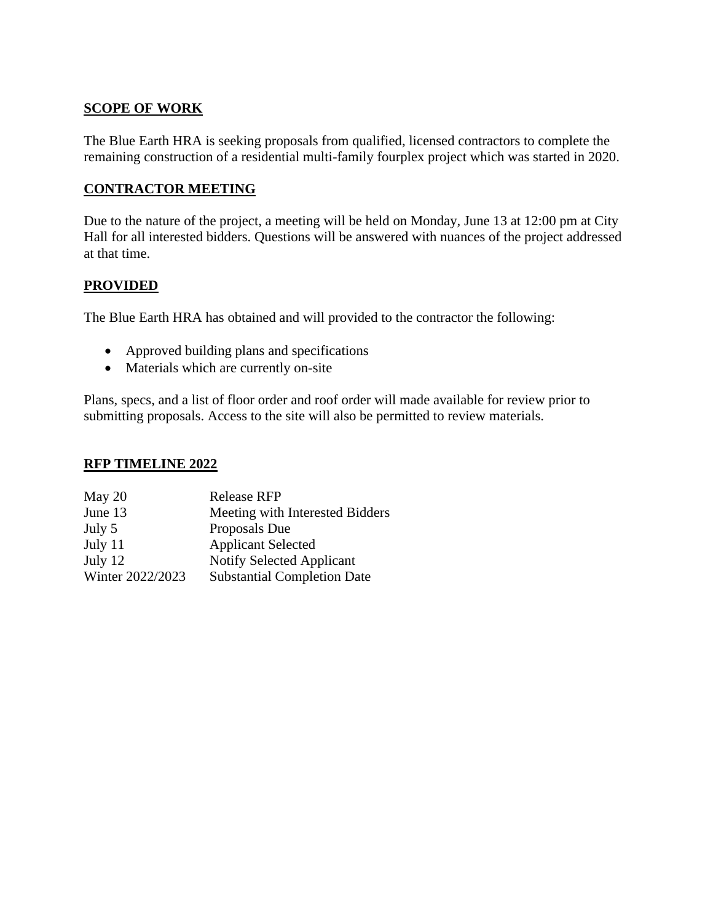# **SCOPE OF WORK**

The Blue Earth HRA is seeking proposals from qualified, licensed contractors to complete the remaining construction of a residential multi-family fourplex project which was started in 2020.

## **CONTRACTOR MEETING**

Due to the nature of the project, a meeting will be held on Monday, June 13 at 12:00 pm at City Hall for all interested bidders. Questions will be answered with nuances of the project addressed at that time.

#### **PROVIDED**

The Blue Earth HRA has obtained and will provided to the contractor the following:

- Approved building plans and specifications
- Materials which are currently on-site

Plans, specs, and a list of floor order and roof order will made available for review prior to submitting proposals. Access to the site will also be permitted to review materials.

#### **RFP TIMELINE 2022**

| May 20           | <b>Release RFP</b>                 |
|------------------|------------------------------------|
| June 13          | Meeting with Interested Bidders    |
| July 5           | Proposals Due                      |
| July 11          | <b>Applicant Selected</b>          |
| July $12$        | <b>Notify Selected Applicant</b>   |
| Winter 2022/2023 | <b>Substantial Completion Date</b> |